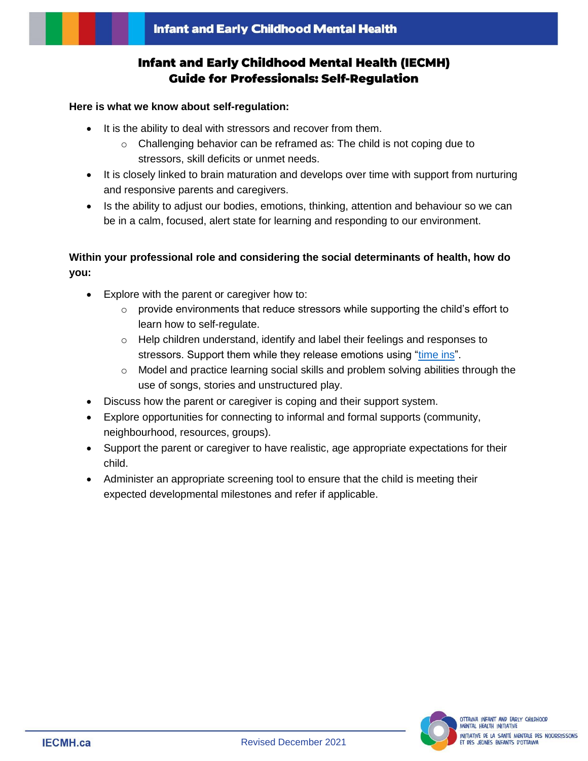# **Infant and Early Childhood Mental Health (IECMH) Guide for Professionals: Self-Regulation**

#### **Here is what we know about self-regulation:**

- It is the ability to deal with stressors and recover from them.
	- o Challenging behavior can be reframed as: The child is not coping due to stressors, skill deficits or unmet needs.
- It is closely linked to brain maturation and develops over time with support from nurturing and responsive parents and caregivers.
- Is the ability to adjust our bodies, emotions, thinking, attention and behaviour so we can be in a calm, focused, alert state for learning and responding to our environment.

## **Within your professional role and considering the social determinants of health, how do you:**

- Explore with the parent or caregiver how to:
	- $\circ$  provide environments that reduce stressors while supporting the child's effort to learn how to self-regulate.
	- $\circ$  Help children understand, identify and label their feelings and responses to stressors. Support them while they release emotions using ["time ins"](https://postinstitute.com/time-in-vs-time-out/).
	- $\circ$  Model and practice learning social skills and problem solving abilities through the use of songs, stories and unstructured play.
- Discuss how the parent or caregiver is coping and their support system.
- Explore opportunities for connecting to informal and formal supports (community, neighbourhood, resources, groups).
- Support the parent or caregiver to have realistic, age appropriate expectations for their child.
- Administer an appropriate screening tool to ensure that the child is meeting their expected developmental milestones and refer if applicable.